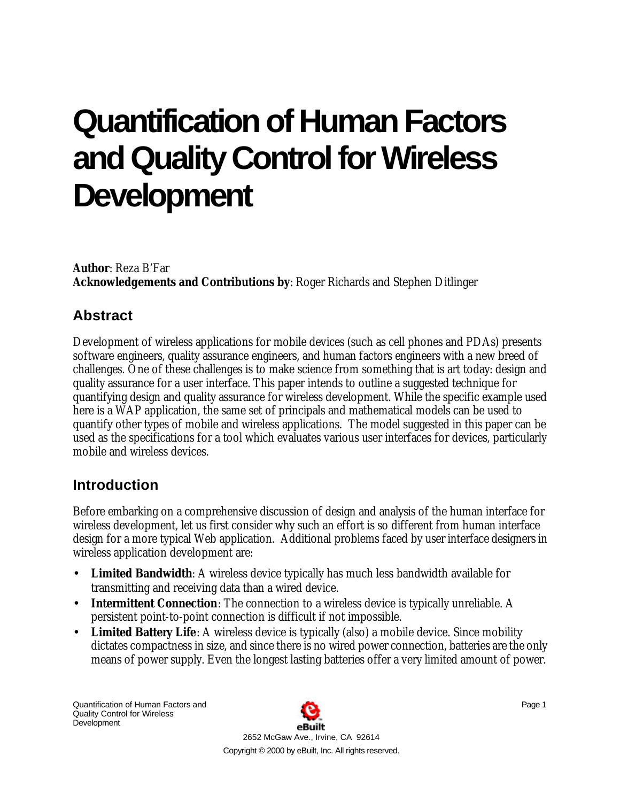# **Quantification of Human Factors and Quality Control for Wireless Development**

**Author**: Reza B'Far **Acknowledgements and Contributions by**: Roger Richards and Stephen Ditlinger

# **Abstract**

Development of wireless applications for mobile devices (such as cell phones and PDAs) presents software engineers, quality assurance engineers, and human factors engineers with a new breed of challenges. One of these challenges is to make science from something that is art today: design and quality assurance for a user interface. This paper intends to outline a suggested technique for quantifying design and quality assurance for wireless development. While the specific example used here is a WAP application, the same set of principals and mathematical models can be used to quantify other types of mobile and wireless applications. The model suggested in this paper can be used as the specifications for a tool which evaluates various user interfaces for devices, particularly mobile and wireless devices.

# **Introduction**

Before embarking on a comprehensive discussion of design and analysis of the human interface for wireless development, let us first consider why such an effort is so different from human interface design for a more typical Web application. Additional problems faced by user interface designers in wireless application development are:

- **Limited Bandwidth**: A wireless device typically has much less bandwidth available for transmitting and receiving data than a wired device.
- **Intermittent Connection**: The connection to a wireless device is typically unreliable. A persistent point-to-point connection is difficult if not impossible.
- **Limited Battery Life**: A wireless device is typically (also) a mobile device. Since mobility dictates compactness in size, and since there is no wired power connection, batteries are the only means of power supply. Even the longest lasting batteries offer a very limited amount of power.

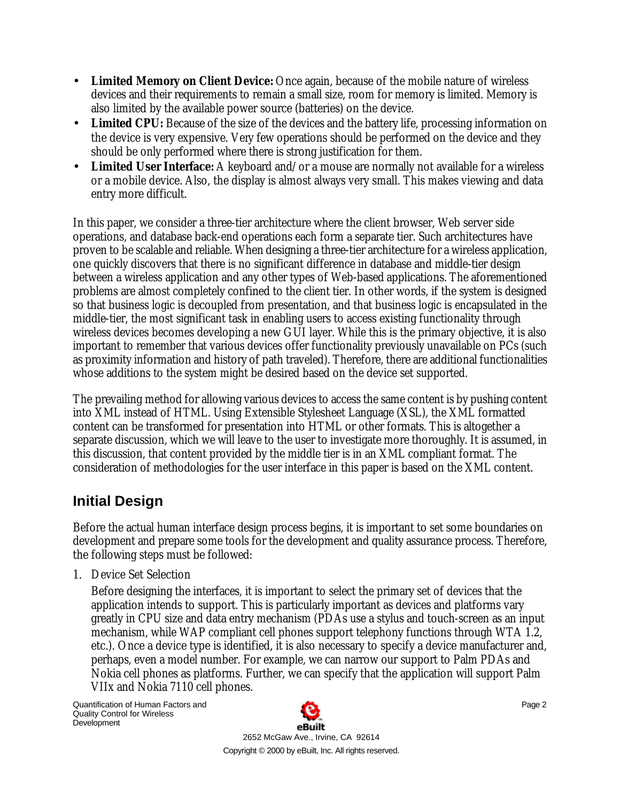- **Limited Memory on Client Device:** Once again, because of the mobile nature of wireless devices and their requirements to remain a small size, room for memory is limited. Memory is also limited by the available power source (batteries) on the device.
- **Limited CPU:** Because of the size of the devices and the battery life, processing information on the device is very expensive. Very few operations should be performed on the device and they should be only performed where there is strong justification for them.
- Limited User Interface: A keyboard and/or a mouse are normally not available for a wireless or a mobile device. Also, the display is almost always very small. This makes viewing and data entry more difficult.

In this paper, we consider a three-tier architecture where the client browser, Web server side operations, and database back-end operations each form a separate tier. Such architectures have proven to be scalable and reliable. When designing a three-tier architecture for a wireless application, one quickly discovers that there is no significant difference in database and middle-tier design between a wireless application and any other types of Web-based applications. The aforementioned problems are almost completely confined to the client tier. In other words, if the system is designed so that business logic is decoupled from presentation, and that business logic is encapsulated in the middle-tier, the most significant task in enabling users to access existing functionality through wireless devices becomes developing a new GUI layer. While this is the primary objective, it is also important to remember that various devices offer functionality previously unavailable on PCs (such as proximity information and history of path traveled). Therefore, there are additional functionalities whose additions to the system might be desired based on the device set supported.

The prevailing method for allowing various devices to access the same content is by pushing content into XML instead of HTML. Using Extensible Stylesheet Language (XSL), the XML formatted content can be transformed for presentation into HTML or other formats. This is altogether a separate discussion, which we will leave to the user to investigate more thoroughly. It is assumed, in this discussion, that content provided by the middle tier is in an XML compliant format. The consideration of methodologies for the user interface in this paper is based on the XML content.

# **Initial Design**

Before the actual human interface design process begins, it is important to set some boundaries on development and prepare some tools for the development and quality assurance process. Therefore, the following steps must be followed:

1. Device Set Selection

Before designing the interfaces, it is important to select the primary set of devices that the application intends to support. This is particularly important as devices and platforms vary greatly in CPU size and data entry mechanism (PDAs use a stylus and touch-screen as an input mechanism, while WAP compliant cell phones support telephony functions through WTA 1.2, etc.). Once a device type is identified, it is also necessary to specify a device manufacturer and, perhaps, even a model number. For example, we can narrow our support to Palm PDAs and Nokia cell phones as platforms. Further, we can specify that the application will support Palm VIIx and Nokia 7110 cell phones.

Quantification of Human Factors and Quality Control for Wireless **Development** 

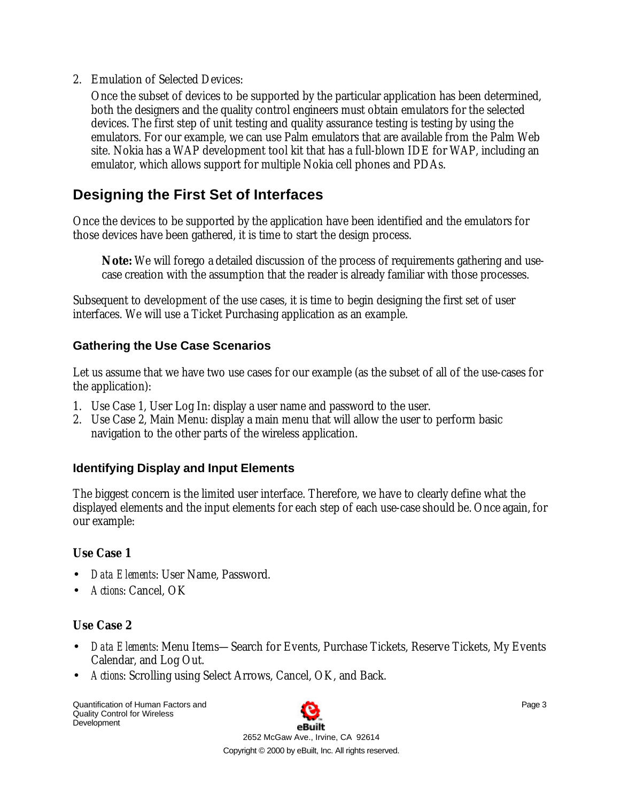2. Emulation of Selected Devices:

Once the subset of devices to be supported by the particular application has been determined, both the designers and the quality control engineers must obtain emulators for the selected devices. The first step of unit testing and quality assurance testing is testing by using the emulators. For our example, we can use Palm emulators that are available from the Palm Web site. Nokia has a WAP development tool kit that has a full-blown IDE for WAP, including an emulator, which allows support for multiple Nokia cell phones and PDAs.

# **Designing the First Set of Interfaces**

Once the devices to be supported by the application have been identified and the emulators for those devices have been gathered, it is time to start the design process.

**Note:** We will forego a detailed discussion of the process of requirements gathering and usecase creation with the assumption that the reader is already familiar with those processes.

Subsequent to development of the use cases, it is time to begin designing the first set of user interfaces. We will use a Ticket Purchasing application as an example.

#### **Gathering the Use Case Scenarios**

Let us assume that we have two use cases for our example (as the subset of all of the use-cases for the application):

- 1. Use Case 1, User Log In: display a user name and password to the user.
- 2. Use Case 2, Main Menu: display a main menu that will allow the user to perform basic navigation to the other parts of the wireless application.

## **Identifying Display and Input Elements**

The biggest concern is the limited user interface. Therefore, we have to clearly define what the displayed elements and the input elements for each step of each use-case should be. Once again, for our example:

## **Use Case 1**

- *Data Elements*: User Name, Password.
- *Actions*: Cancel, OK

## **Use Case 2**

- *Data Elements*: Menu Items—Search for Events, Purchase Tickets, Reserve Tickets, My Events Calendar, and Log Out.
- *Actions*: Scrolling using Select Arrows, Cancel, OK, and Back.

Quantification of Human Factors and Quality Control for Wireless **Development** 

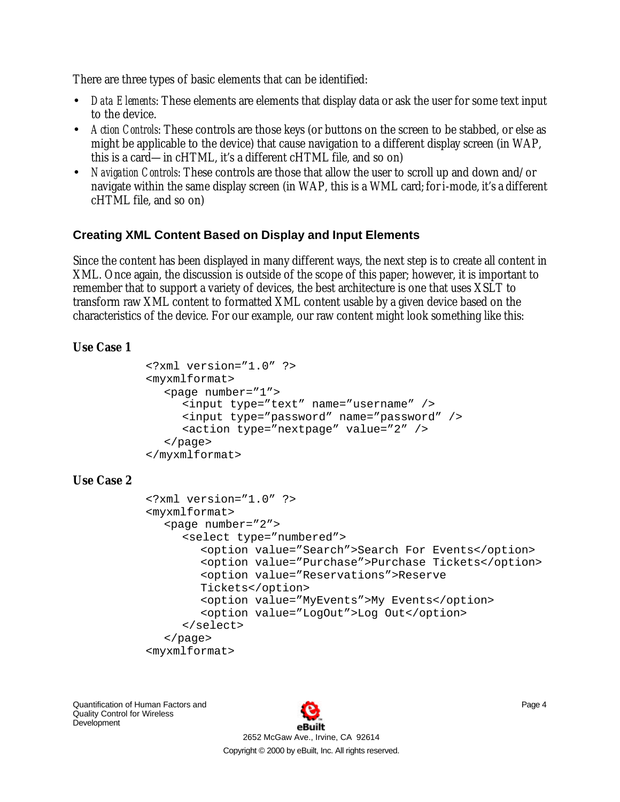There are three types of basic elements that can be identified:

- *Data Elements*: These elements are elements that display data or ask the user for some text input to the device.
- *Action Controls*: These controls are those keys (or buttons on the screen to be stabbed, or else as might be applicable to the device) that cause navigation to a different display screen (in WAP, this is a card—in cHTML, it's a different cHTML file, and so on)
- *Navigation Controls*: These controls are those that allow the user to scroll up and down and/or navigate within the same display screen (in WAP, this is a WML card; for i-mode, it's a different cHTML file, and so on)

#### **Creating XML Content Based on Display and Input Elements**

Since the content has been displayed in many different ways, the next step is to create all content in XML. Once again, the discussion is outside of the scope of this paper; however, it is important to remember that to support a variety of devices, the best architecture is one that uses XSLT to transform raw XML content to formatted XML content usable by a given device based on the characteristics of the device. For our example, our raw content might look something like this:

#### **Use Case 1**

```
<?xml version="1.0" ?>
<myxmlformat>
  <page number="1">
     <input type="text" name="username" />
     <input type="password" name="password" />
     <action type="nextpage" value="2" />
  </page>
</myxmlformat>
```
#### **Use Case 2**

```
<?xml version="1.0" ?>
<myxmlformat>
  <page number="2">
     <select type="numbered">
        <option value="Search">Search For Events</option>
        <option value="Purchase">Purchase Tickets</option>
        <option value="Reservations">Reserve 
        Tickets</option>
        <option value="MyEvents">My Events</option>
        <option value="LogOut">Log Out</option>
     </select>
  </page>
<myxmlformat>
```
Quantification of Human Factors and Quality Control for Wireless **Development** 

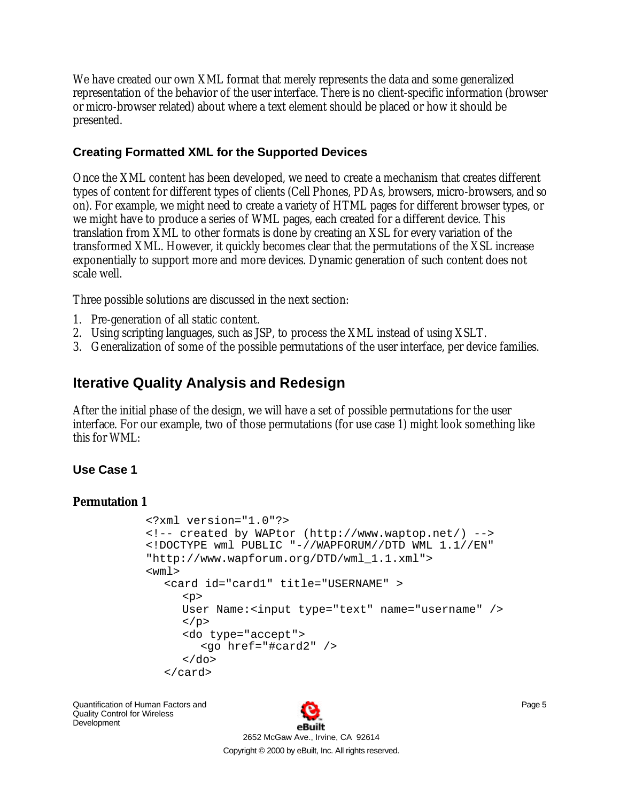We have created our own XML format that merely represents the data and some generalized representation of the behavior of the user interface. There is no client-specific information (browser or micro-browser related) about where a text element should be placed or how it should be presented.

#### **Creating Formatted XML for the Supported Devices**

Once the XML content has been developed, we need to create a mechanism that creates different types of content for different types of clients (Cell Phones, PDAs, browsers, micro-browsers, and so on). For example, we might need to create a variety of HTML pages for different browser types, or we might have to produce a series of WML pages, each created for a different device. This translation from XML to other formats is done by creating an XSL for every variation of the transformed XML. However, it quickly becomes clear that the permutations of the XSL increase exponentially to support more and more devices. Dynamic generation of such content does not scale well.

Three possible solutions are discussed in the next section:

- 1. Pre-generation of all static content.
- 2. Using scripting languages, such as JSP, to process the XML instead of using XSLT.
- 3. Generalization of some of the possible permutations of the user interface, per device families.

# **Iterative Quality Analysis and Redesign**

After the initial phase of the design, we will have a set of possible permutations for the user interface. For our example, two of those permutations (for use case 1) might look something like this for WML:

#### **Use Case 1**

#### **Permutation 1**

```
<?xml version="1.0"?>
<!-- created by WAPtor (http://www.waptop.net/) -->
<!DOCTYPE wml PUBLIC "-//WAPFORUM//DTD WML 1.1//EN" 
"http://www.wapforum.org/DTD/wml_1.1.xml">
<wm\geq<card id="card1" title="USERNAME" >
     <p>
     User Name:<input type="text" name="username" />
     \langle/p>
     <do type="accept">
        <go href="#card2" />
     \langle do>
  </card>
```
Quantification of Human Factors and Quality Control for Wireless Development

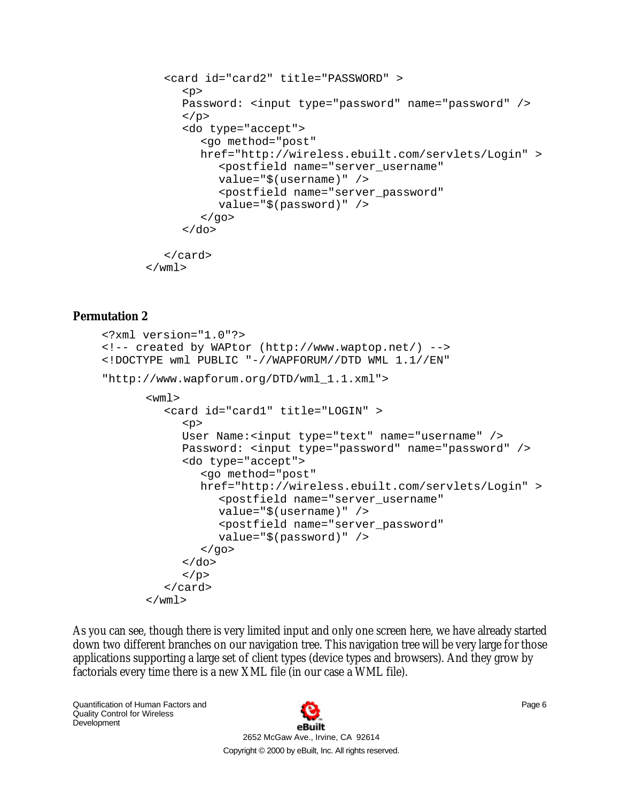```
<card id="card2" title="PASSWORD" >
      <sub>p</sub></sub>
      Password: <input type="password" name="password" />
      \langle/p>
      <do type="accept">
         <go method="post" 
         href="http://wireless.ebuilt.com/servlets/Login" >
            <postfield name="server_username" 
            value="$(username)" />
            <postfield name="server_password" 
            value="$(password)" />
         </qo>
      \langle do>
  </card>
\langle/wml\rangle
```
#### **Permutation 2**

```
<?xml version="1.0"?>
<!-- created by WAPtor (http://www.waptop.net/) -->
<!DOCTYPE wml PUBLIC "-//WAPFORUM//DTD WML 1.1//EN" 
"http://www.wapforum.org/DTD/wml_1.1.xml">
      <wm\geq<card id="card1" title="LOGIN" >
            <p>
            User Name:<input type="text" name="username" />
            Password: <input type="password" name="password" />
            <do type="accept">
               <go method="post" 
               href="http://wireless.ebuilt.com/servlets/Login" >
                  <postfield name="server_username" 
                  value="$(username)" />
                  <postfield name="server_password" 
                  value="$(password)" />
               </qo>
            \langle do>
            \langle/p>
         </card>
      \langle/wml\rangle
```
As you can see, though there is very limited input and only one screen here, we have already started down two different branches on our navigation tree. This navigation tree will be very large for those applications supporting a large set of client types (device types and browsers). And they grow by factorials every time there is a new XML file (in our case a WML file).

Quantification of Human Factors and Quality Control for Wireless **Development** 

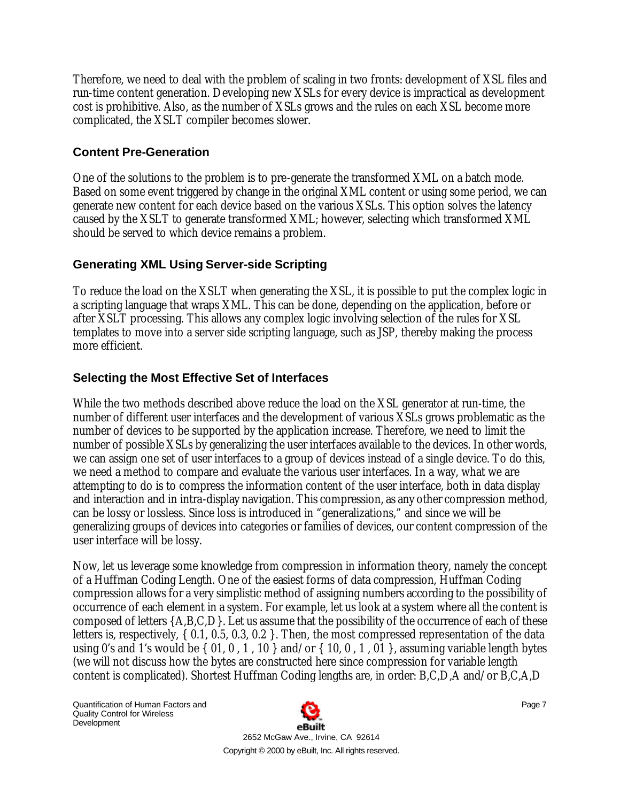Therefore, we need to deal with the problem of scaling in two fronts: development of XSL files and run-time content generation. Developing new XSLs for every device is impractical as development cost is prohibitive. Also, as the number of XSLs grows and the rules on each XSL become more complicated, the XSLT compiler becomes slower.

#### **Content Pre-Generation**

One of the solutions to the problem is to pre-generate the transformed XML on a batch mode. Based on some event triggered by change in the original XML content or using some period, we can generate new content for each device based on the various XSLs. This option solves the latency caused by the XSLT to generate transformed XML; however, selecting which transformed XML should be served to which device remains a problem.

## **Generating XML Using Server-side Scripting**

To reduce the load on the XSLT when generating the XSL, it is possible to put the complex logic in a scripting language that wraps XML. This can be done, depending on the application, before or after XSLT processing. This allows any complex logic involving selection of the rules for XSL templates to move into a server side scripting language, such as JSP, thereby making the process more efficient.

## **Selecting the Most Effective Set of Interfaces**

While the two methods described above reduce the load on the XSL generator at run-time, the number of different user interfaces and the development of various XSLs grows problematic as the number of devices to be supported by the application increase. Therefore, we need to limit the number of possible XSLs by generalizing the user interfaces available to the devices. In other words, we can assign one set of user interfaces to a group of devices instead of a single device. To do this, we need a method to compare and evaluate the various user interfaces. In a way, what we are attempting to do is to compress the information content of the user interface, both in data display and interaction and in intra-display navigation. This compression, as any other compression method, can be lossy or lossless. Since loss is introduced in "generalizations," and since we will be generalizing groups of devices into categories or families of devices, our content compression of the user interface will be lossy.

Now, let us leverage some knowledge from compression in information theory, namely the concept of a Huffman Coding Length. One of the easiest forms of data compression, Huffman Coding compression allows for a very simplistic method of assigning numbers according to the possibility of occurrence of each element in a system. For example, let us look at a system where all the content is composed of letters {A,B,C,D}. Let us assume that the possibility of the occurrence of each of these letters is, respectively, { 0.1, 0.5, 0.3, 0.2 }. Then, the most compressed representation of the data using 0's and 1's would be  $\{01, 0, 1, 10\}$  and/or  $\{10, 0, 1, 01\}$ , assuming variable length bytes (we will not discuss how the bytes are constructed here since compression for variable length content is complicated). Shortest Huffman Coding lengths are, in order: B,C,D,A and/or B,C,A,D

Quantification of Human Factors and Quality Control for Wireless **Development** 

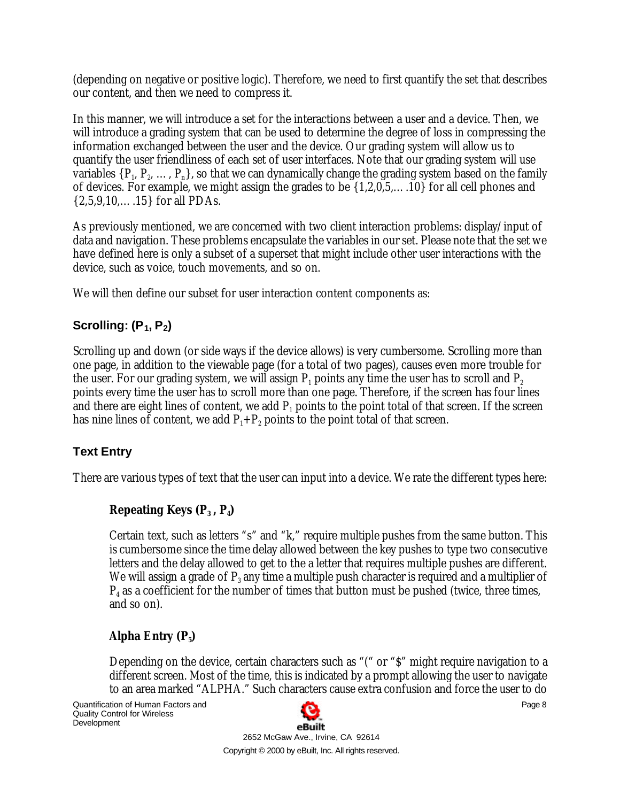(depending on negative or positive logic). Therefore, we need to first quantify the set that describes our content, and then we need to compress it.

In this manner, we will introduce a set for the interactions between a user and a device. Then, we will introduce a grading system that can be used to determine the degree of loss in compressing the information exchanged between the user and the device. Our grading system will allow us to quantify the user friendliness of each set of user interfaces. Note that our grading system will use variables  $\{P_1, P_2, ..., P_n\}$ , so that we can dynamically change the grading system based on the family of devices. For example, we might assign the grades to be {1,2,0,5,….10} for all cell phones and {2,5,9,10,….15} for all PDAs.

As previously mentioned, we are concerned with two client interaction problems: display/input of data and navigation. These problems encapsulate the variables in our set. Please note that the set we have defined here is only a subset of a superset that might include other user interactions with the device, such as voice, touch movements, and so on.

We will then define our subset for user interaction content components as:

## **Scrolling: (P1, P2)**

Scrolling up and down (or side ways if the device allows) is very cumbersome. Scrolling more than one page, in addition to the viewable page (for a total of two pages), causes even more trouble for the user. For our grading system, we will assign  $\mathsf{P}_1$  points any time the user has to scroll and  $\mathsf{P}_2$ points every time the user has to scroll more than one page. Therefore, if the screen has four lines and there are eight lines of content, we add  $\mathrm{P_{1}}$  points to the point total of that screen. If the screen has nine lines of content, we add  $\rm P_{1}+\rm P_{2}$  points to the point total of that screen.

## **Text Entry**

There are various types of text that the user can input into a device. We rate the different types here:

## **Repeating Keys (P<sup>3</sup> , P<sup>4</sup> )**

Certain text, such as letters "s" and "k," require multiple pushes from the same button. This is cumbersome since the time delay allowed between the key pushes to type two consecutive letters and the delay allowed to get to the a letter that requires multiple pushes are different. We will assign a grade of  $\mathrm{P_{3}}$  any time a multiple push character is required and a multiplier of  $\mathrm{P}_4$  as a coefficient for the number of times that button must be pushed (twice, three times, and so on).

## **Alpha Entry (P<sup>5</sup> )**

Depending on the device, certain characters such as "(" or "\$" might require navigation to a different screen. Most of the time, this is indicated by a prompt allowing the user to navigate to an area marked "ALPHA." Such characters cause extra confusion and force the user to do



2652 McGaw Ave., Irvine, CA 92614 Copyright © 2000 by eBuilt, Inc. All rights reserved. Page 8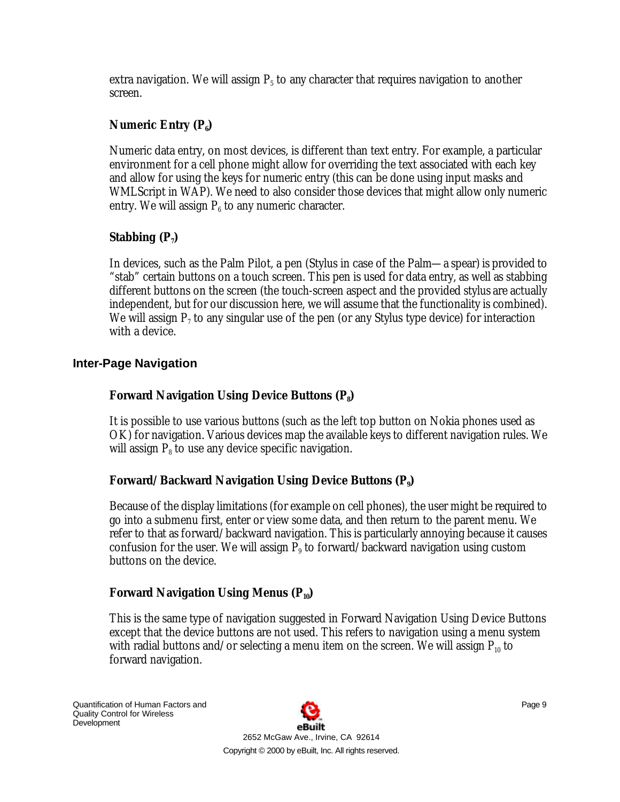extra navigation. We will assign  $\text{P}_5$  to any character that requires navigation to another screen.

#### **Numeric Entry (P<sup>6</sup> )**

Numeric data entry, on most devices, is different than text entry. For example, a particular environment for a cell phone might allow for overriding the text associated with each key and allow for using the keys for numeric entry (this can be done using input masks and WMLScript in WAP). We need to also consider those devices that might allow only numeric entry. We will assign  $\mathrm{P_{6}}$  to any numeric character.

## **Stabbing (P<sup>7</sup> )**

In devices, such as the Palm Pilot, a pen (Stylus in case of the Palm—a spear) is provided to "stab" certain buttons on a touch screen. This pen is used for data entry, as well as stabbing different buttons on the screen (the touch-screen aspect and the provided stylus are actually independent, but for our discussion here, we will assume that the functionality is combined). We will assign  $\mathrm{P}_7$  to any singular use of the pen (or any Stylus type device) for interaction with a device.

#### **Inter-Page Navigation**

## **Forward Navigation Using Device Buttons (P<sup>8</sup> )**

It is possible to use various buttons (such as the left top button on Nokia phones used as OK) for navigation. Various devices map the available keys to different navigation rules. We will assign  $\mathrm{P}_{\mathrm{s}}$  to use any device specific navigation.

## **Forward/Backward Navigation Using Device Buttons (P<sup>9</sup> )**

Because of the display limitations (for example on cell phones), the user might be required to go into a submenu first, enter or view some data, and then return to the parent menu. We refer to that as forward/backward navigation. This is particularly annoying because it causes confusion for the user. We will assign  $P_{9}$  to forward/backward navigation using custom buttons on the device.

#### **Forward Navigation Using Menus (P10)**

This is the same type of navigation suggested in Forward Navigation Using Device Buttons except that the device buttons are not used. This refers to navigation using a menu system with radial buttons and/or selecting a menu item on the screen. We will assign  $P_{10}$  to forward navigation.

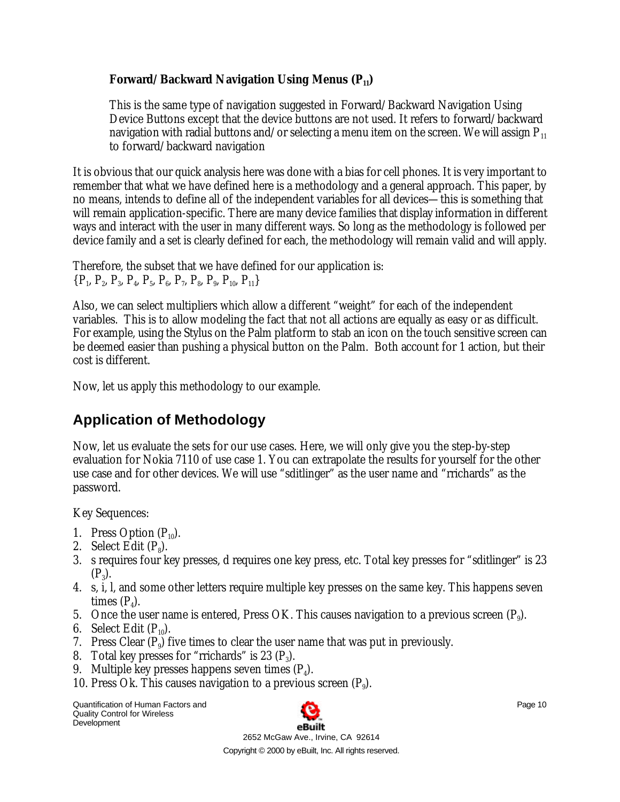#### **Forward/Backward Navigation Using Menus (P11)**

This is the same type of navigation suggested in Forward/Backward Navigation Using Device Buttons except that the device buttons are not used. It refers to forward/backward navigation with radial buttons and/or selecting a menu item on the screen. We will assign  $P_{11}$ to forward/backward navigation

It is obvious that our quick analysis here was done with a bias for cell phones. It is very important to remember that what we have defined here is a methodology and a general approach. This paper, by no means, intends to define all of the independent variables for all devices—this is something that will remain application-specific. There are many device families that display information in different ways and interact with the user in many different ways. So long as the methodology is followed per device family and a set is clearly defined for each, the methodology will remain valid and will apply.

```
Therefore, the subset that we have defined for our application is:
{P_1, P_2, P_3, P_4, P_5, P_6, P_7, P_8, P_9, P_{10}, P_{11}}
```
Also, we can select multipliers which allow a different "weight" for each of the independent variables. This is to allow modeling the fact that not all actions are equally as easy or as difficult. For example, using the Stylus on the Palm platform to stab an icon on the touch sensitive screen can be deemed easier than pushing a physical button on the Palm. Both account for 1 action, but their cost is different.

Now, let us apply this methodology to our example.

# **Application of Methodology**

Now, let us evaluate the sets for our use cases. Here, we will only give you the step-by-step evaluation for Nokia 7110 of use case 1. You can extrapolate the results for yourself for the other use case and for other devices. We will use "sditlinger" as the user name and "rrichards" as the password.

Key Sequences:

- 1. Press Option  $(P_{10})$ .
- 2. Select Edit  $(P_8)$ .
- 3. s requires four key presses, d requires one key press, etc. Total key presses for "sditlinger" is 23  $(P_3)$ .
- 4. s, i, l, and some other letters require multiple key presses on the same key. This happens seven times  $(P_4)$ .
- 5. Once the user name is entered, Press OK. This causes navigation to a previous screen  $(P_9)$ .
- 6. Select Edit  $(P_{10})$ .
- 7. Press Clear  $(P_9)$  five times to clear the user name that was put in previously.
- 8. Total key presses for "rrichards" is 23  $(P_3)$ .
- 9. Multiple key presses happens seven times  $(P_4)$ .
- 10. Press Ok. This causes navigation to a previous screen  $(P_9)$ .

Quantification of Human Factors and Quality Control for Wireless **Development** 

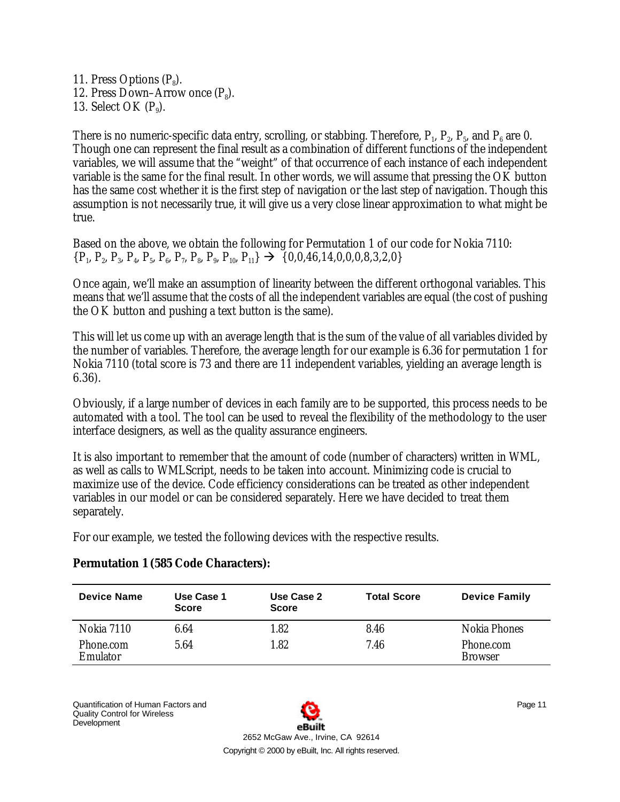11. Press Options  $(P_8)$ . 12. Press Down–Arrow once  $(P_8)$ . 13. Select OK  $(P_9)$ .

There is no numeric-specific data entry, scrolling, or stabbing. Therefore,  $P_1$ ,  $P_2$ ,  $P_5$ , and  $P_6$  are 0. Though one can represent the final result as a combination of different functions of the independent variables, we will assume that the "weight" of that occurrence of each instance of each independent variable is the same for the final result. In other words, we will assume that pressing the OK button has the same cost whether it is the first step of navigation or the last step of navigation. Though this assumption is not necessarily true, it will give us a very close linear approximation to what might be true.

Based on the above, we obtain the following for Permutation 1 of our code for Nokia 7110:  $\{P_1, P_2, P_3, P_4, P_5, P_6, P_7, P_8, P_9, P_{10}, P_{11}\} \rightarrow \{0, 0, 46, 14, 0, 0, 0, 8, 3, 2, 0\}$ 

Once again, we'll make an assumption of linearity between the different orthogonal variables. This means that we'll assume that the costs of all the independent variables are equal (the cost of pushing the OK button and pushing a text button is the same).

This will let us come up with an average length that is the sum of the value of all variables divided by the number of variables. Therefore, the average length for our example is 6.36 for permutation 1 for Nokia 7110 (total score is 73 and there are 11 independent variables, yielding an average length is 6.36).

Obviously, if a large number of devices in each family are to be supported, this process needs to be automated with a tool. The tool can be used to reveal the flexibility of the methodology to the user interface designers, as well as the quality assurance engineers.

It is also important to remember that the amount of code (number of characters) written in WML, as well as calls to WMLScript, needs to be taken into account. Minimizing code is crucial to maximize use of the device. Code efficiency considerations can be treated as other independent variables in our model or can be considered separately. Here we have decided to treat them separately.

For our example, we tested the following devices with the respective results.

| <b>Device Name</b>    | Use Case 1<br><b>Score</b> | Use Case 2<br><b>Score</b> | <b>Total Score</b> | <b>Device Family</b>        |
|-----------------------|----------------------------|----------------------------|--------------------|-----------------------------|
| <b>Nokia 7110</b>     | 6.64                       | 1.82                       | 8.46               | <b>Nokia Phones</b>         |
| Phone.com<br>Emulator | 5.64                       | 1.82                       | 7.46               | Phone.com<br><b>Browser</b> |

## **Permutation 1 (585 Code Characters):**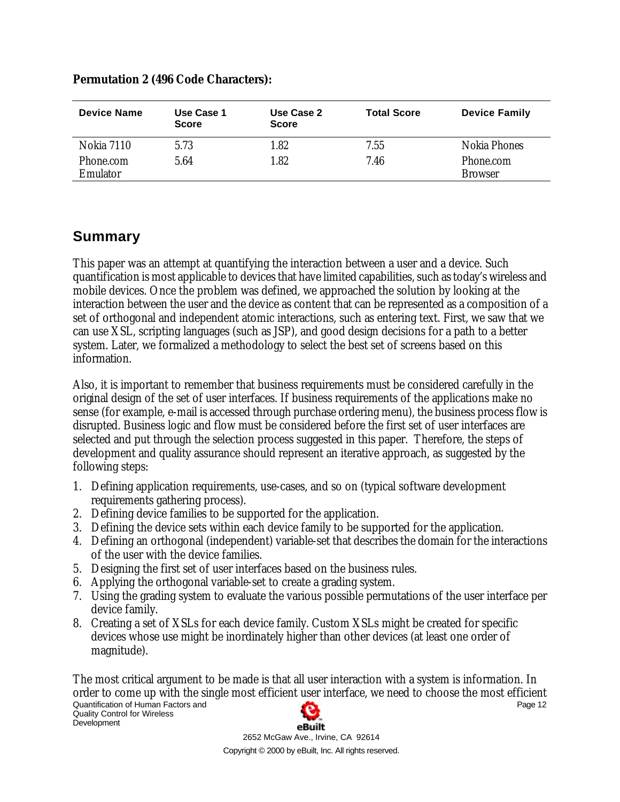| <b>Device Name</b>    | Use Case 1<br><b>Score</b> | Use Case 2<br>Score | <b>Total Score</b> | <b>Device Family</b>        |
|-----------------------|----------------------------|---------------------|--------------------|-----------------------------|
| Nokia 7110            | 5.73                       | 1.82                | 7.55               | Nokia Phones                |
| Phone.com<br>Emulator | 5.64                       | 1.82                | 7.46               | Phone.com<br><b>Browser</b> |

#### **Permutation 2 (496 Code Characters):**

# **Summary**

This paper was an attempt at quantifying the interaction between a user and a device. Such quantification is most applicable to devices that have limited capabilities, such as today's wireless and mobile devices. Once the problem was defined, we approached the solution by looking at the interaction between the user and the device as content that can be represented as a composition of a set of orthogonal and independent atomic interactions, such as entering text. First, we saw that we can use XSL, scripting languages (such as JSP), and good design decisions for a path to a better system. Later, we formalized a methodology to select the best set of screens based on this information.

Also, it is important to remember that business requirements must be considered carefully in the original design of the set of user interfaces. If business requirements of the applications make no sense (for example, e-mail is accessed through purchase ordering menu), the business process flow is disrupted. Business logic and flow must be considered before the first set of user interfaces are selected and put through the selection process suggested in this paper. Therefore, the steps of development and quality assurance should represent an iterative approach, as suggested by the following steps:

- 1. Defining application requirements, use-cases, and so on (typical software development requirements gathering process).
- 2. Defining device families to be supported for the application.
- 3. Defining the device sets within each device family to be supported for the application.
- 4. Defining an orthogonal (independent) variable-set that describes the domain for the interactions of the user with the device families.
- 5. Designing the first set of user interfaces based on the business rules.
- 6. Applying the orthogonal variable-set to create a grading system.
- 7. Using the grading system to evaluate the various possible permutations of the user interface per device family.
- 8. Creating a set of XSLs for each device family. Custom XSLs might be created for specific devices whose use might be inordinately higher than other devices (at least one order of magnitude).

The most critical argument to be made is that all user interaction with a system is information. In order to come up with the single most efficient user interface, we need to choose the most efficient Quantification of Human Factors and Page 12 Quality Control for Wireless **Development** eBuilt